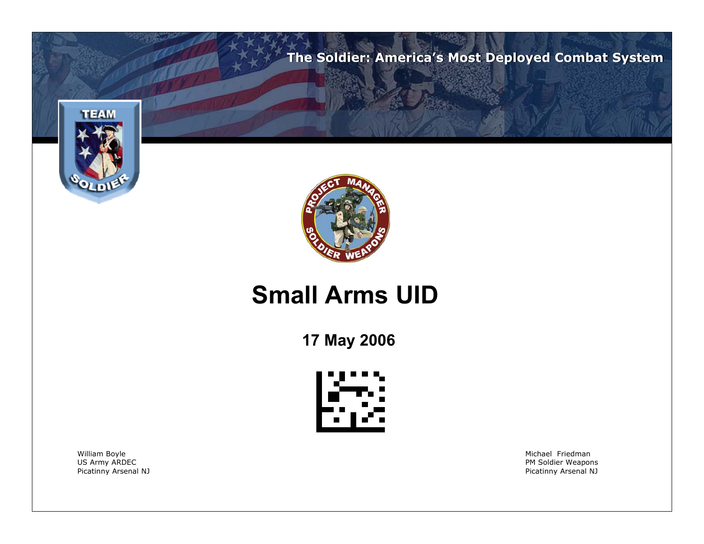**The Soldier: America's Most Deployed Combat System**





### **Small Arms UID**

**17 May 2006**



William Boyle Michael Friedman

US Army ARDEC **No. 2018** and the set of the set of the set of the set of the set of the set of the set of the set of the set of the set of the set of the set of the set of the set of the set of the set of the set of the se Picatinny Arsenal NJ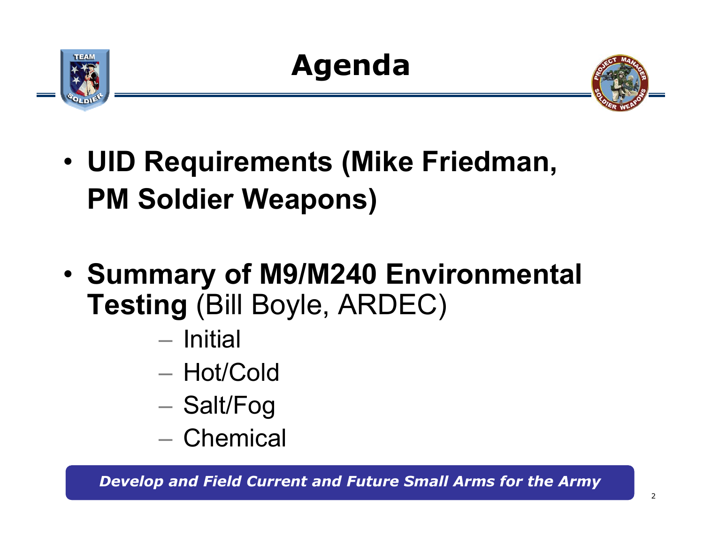



- • **UID Requirements (Mike Friedman, PM Soldier Weapons)**
- • **Summary of M9/M240 Environmental Testing** (Bill Boyle, ARDEC)
	- Initial
	- Hot/Cold
	- Salt/Fog
	- Chemical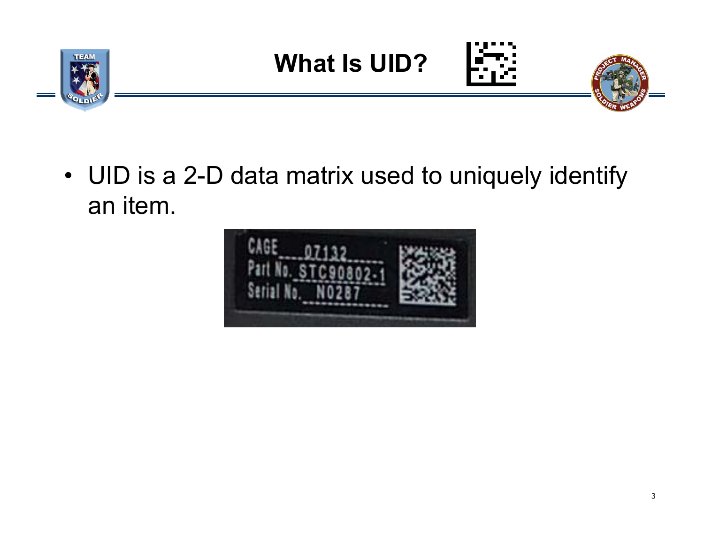

**What Is UID?**





• UID is a 2-D data matrix used to uniquely identify an item.

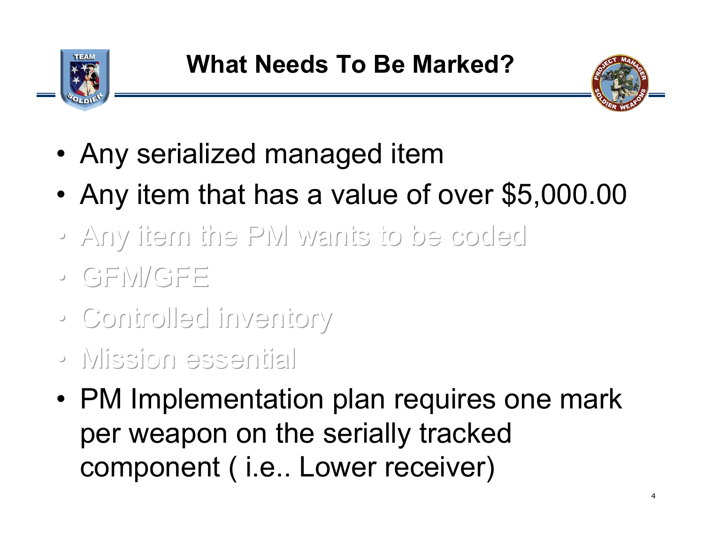



- Any serialized managed item
- •Any item that has a value of over \$5,000.00
- Any item the PM wants to be coded Any item the PM wants to be coded Any item the PM wants to be coded
- GFM/GFE GFM/GFE GFM/GFE
- Controlled inventory Controlled inventory Controlled inventory
- Mission essential Mission essential Mission essential
- PM Implementation plan requires one mark per weapon on the serially tracked component ( i.e.. Lower receiver)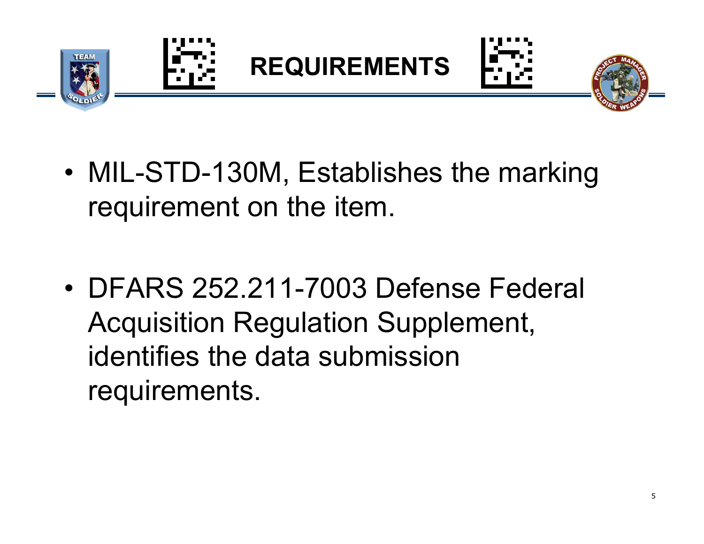

• MIL-STD-130M, Establishes the marking requirement on the item.

• DFARS 252.211-7003 Defense Federal Acquisition Regulation Supplement, identifies the data submission requirements.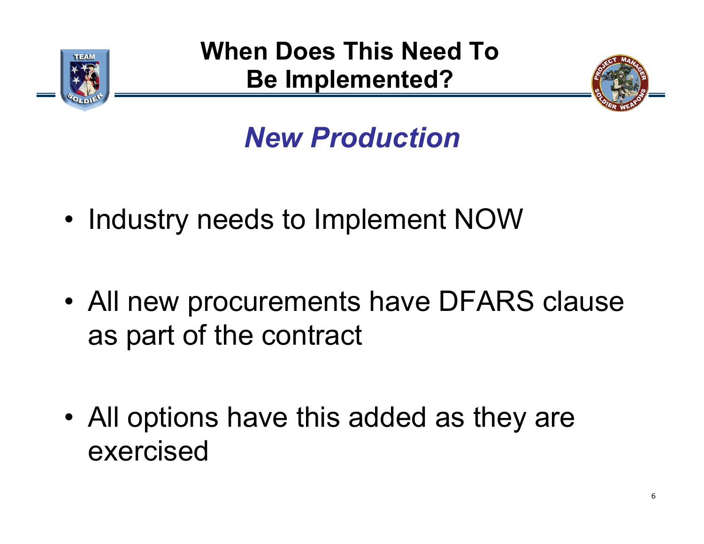

**When Does This Need To Be Implemented?**



# *New Production*

- •Industry needs to Implement NOW
- • All new procurements have DFARS clause as part of the contract

• All options have this added as they are exercised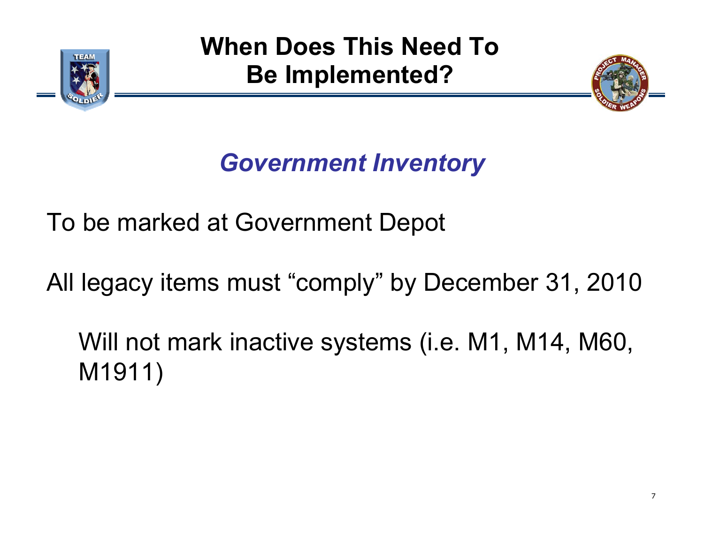

**When Does This Need To Be Implemented?**



## *Government Inventory*

To be marked at Government Depot

All legacy items must "comply" by December 31, 2010

Will not mark inactive systems (i.e. M1, M14, M60, M1911)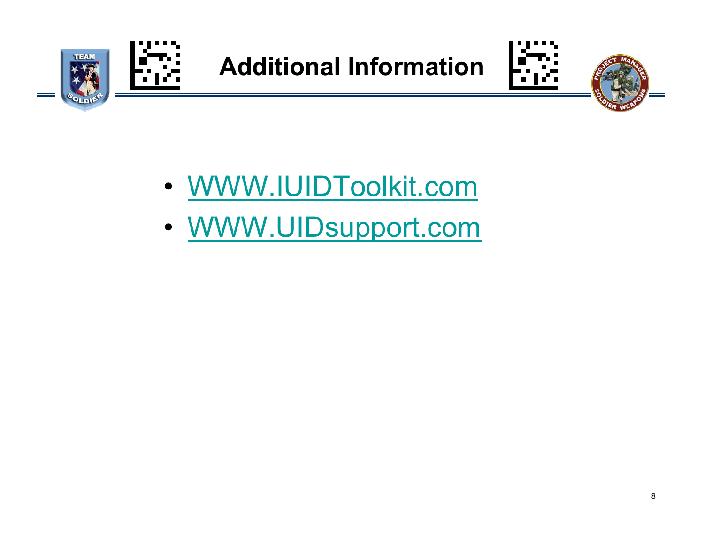

**Additional Information**





- WWW.IUIDToolkit.com
- WWW.UIDsupport.com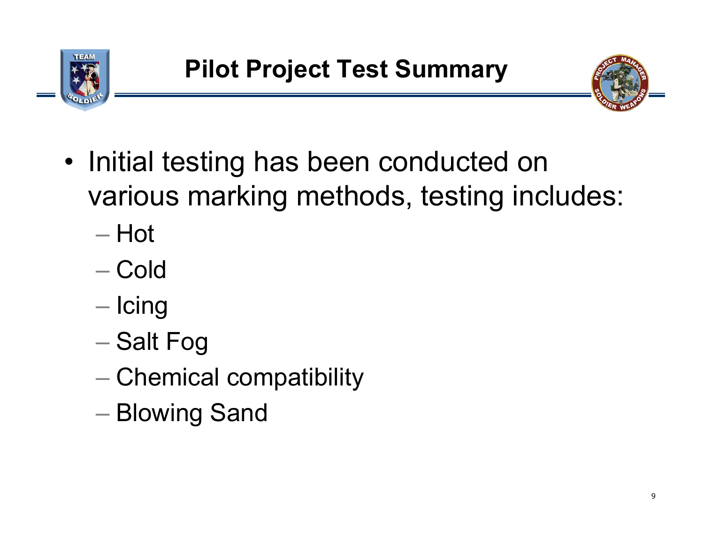



- Initial testing has been conducted on various marking methods, testing includes:
	- Hot
	- Cold
	- Icing
	- Salt Fog
	- $-$  Chemical compatibility
	- Blowing Sand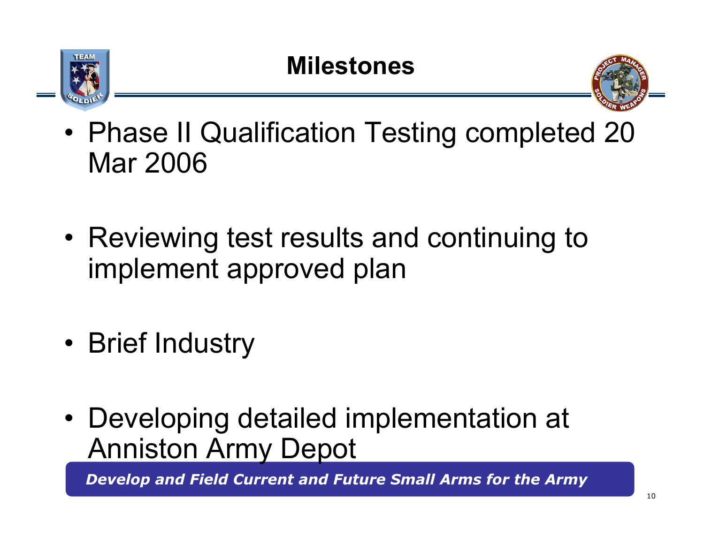



- • Phase II Qualification Testing completed 20 Mar 2006
- Reviewing test results and continuing to implement approved plan
- •Brief Industry
- Developing detailed implementation at Anniston Army Depot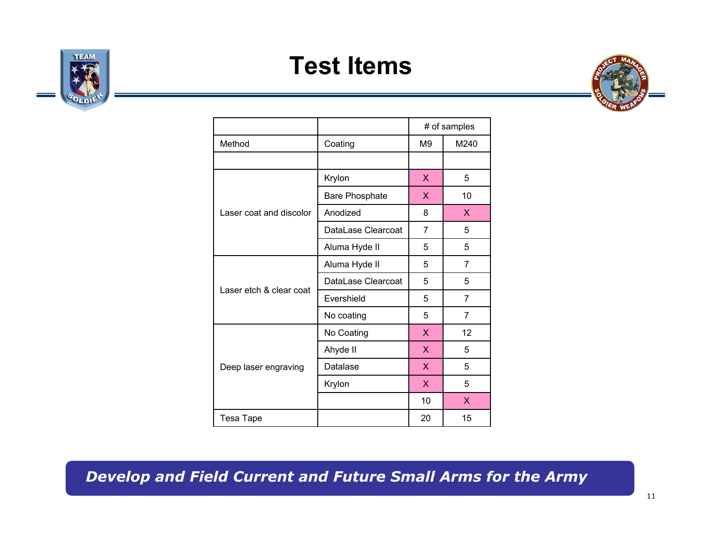### **Test Items**





|                         |                       | # of samples                                                                                                                                                             |      |  |  |
|-------------------------|-----------------------|--------------------------------------------------------------------------------------------------------------------------------------------------------------------------|------|--|--|
| Method                  | Coating               | M <sub>9</sub>                                                                                                                                                           | M240 |  |  |
|                         |                       |                                                                                                                                                                          |      |  |  |
|                         | Krylon                | X                                                                                                                                                                        | 5    |  |  |
|                         | <b>Bare Phosphate</b> | X<br>10<br>8<br>X<br>7<br>5<br>5<br>5<br>5<br>7<br>5<br>5<br>5<br>$\overline{7}$<br>5<br>$\overline{7}$<br>12<br>X<br>X<br>5<br>5<br>X<br>5<br>X<br>10<br>X.<br>20<br>15 |      |  |  |
| Laser coat and discolor | Anodized              |                                                                                                                                                                          |      |  |  |
|                         | DataLase Clearcoat    |                                                                                                                                                                          |      |  |  |
|                         | Aluma Hyde II         |                                                                                                                                                                          |      |  |  |
|                         | Aluma Hyde II         |                                                                                                                                                                          |      |  |  |
|                         | DataLase Clearcoat    |                                                                                                                                                                          |      |  |  |
| Laser etch & clear coat | Evershield            |                                                                                                                                                                          |      |  |  |
|                         | No coating            |                                                                                                                                                                          |      |  |  |
|                         | No Coating            |                                                                                                                                                                          |      |  |  |
|                         | Ahyde II              |                                                                                                                                                                          |      |  |  |
| Deep laser engraving    | Datalase              |                                                                                                                                                                          |      |  |  |
|                         | Krylon                |                                                                                                                                                                          |      |  |  |
|                         |                       |                                                                                                                                                                          |      |  |  |
| Tesa Tape               |                       |                                                                                                                                                                          |      |  |  |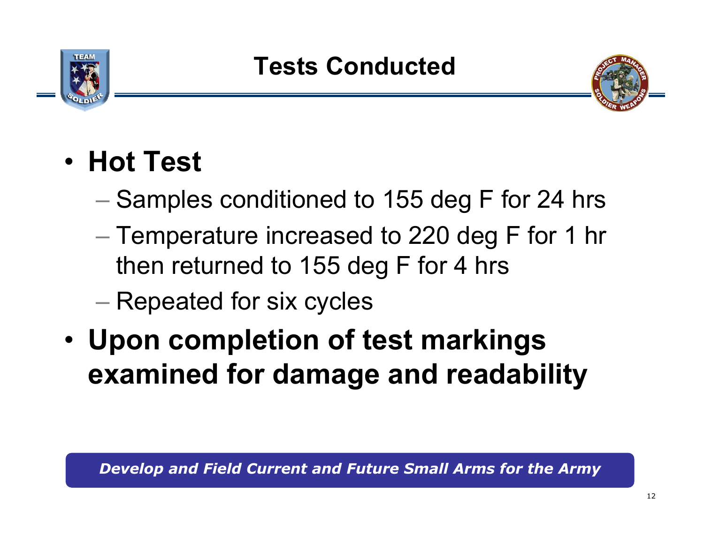



- **Hot Test**
	- $-$  Samples conditioned to 155 deg F for 24 hrs
	- Temperature increased to 220 deg F for 1 hr then returned to 155 deg F for 4 hrs
	- Repeated for six cycles
- • **Upon completion of test markings examined for damage and readability**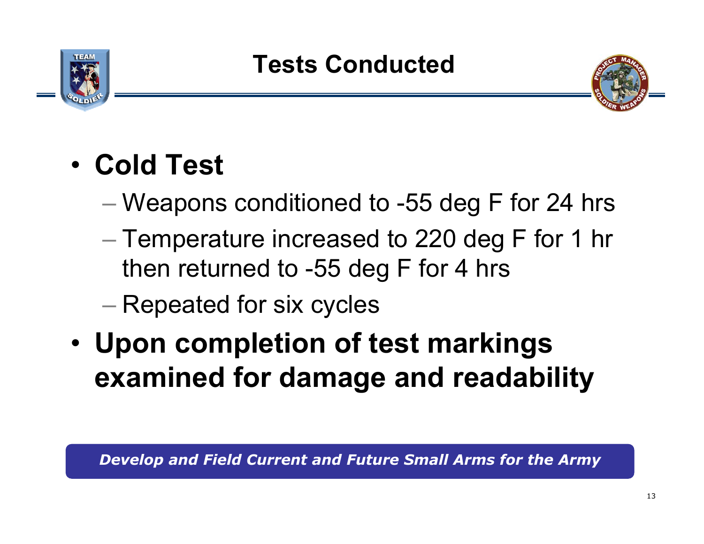



# • **Cold Test**

- Weapons conditioned to -55 deg F for 24 hrs
- Temperature increased to 220 deg F for 1 hr then returned to -55 deg F for 4 hrs
- Repeated for six cycles
- • **Upon completion of test markings examined for damage and readability**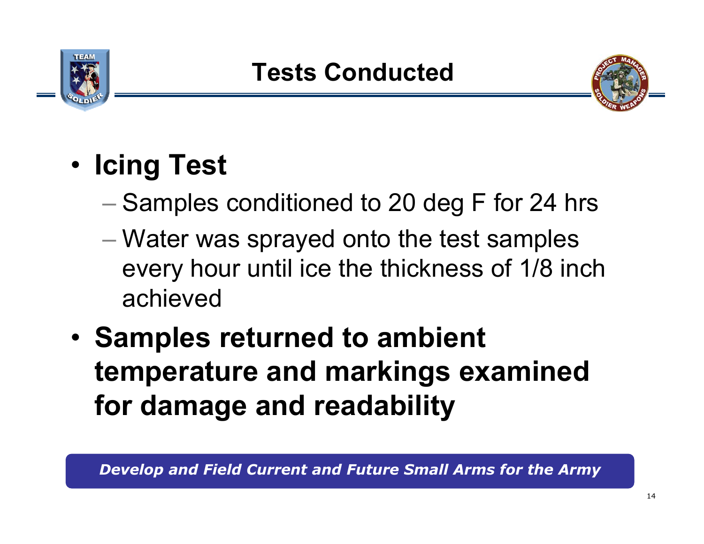



# • **Icing Test**

- $-$  Samples conditioned to 20 deg F for 24 hrs
- Water was sprayed onto the test samples every hour until ice the thickness of 1/8 inch achieved
- • **Samples returned to ambient temperature and markings examined for damage and readability**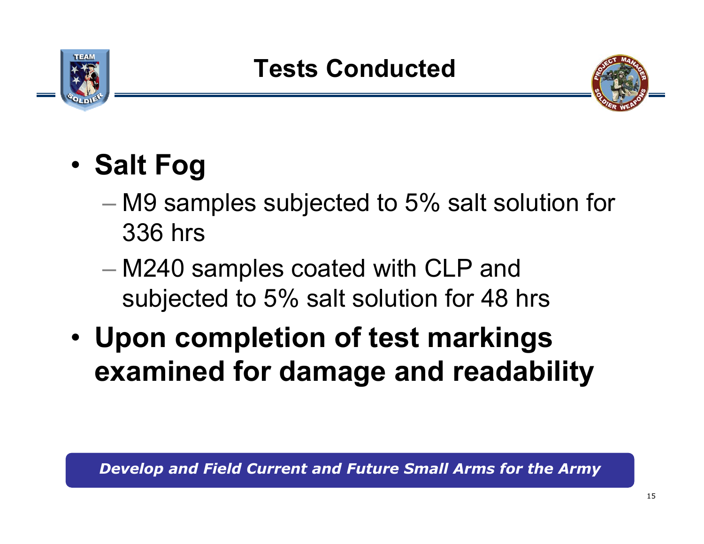



#### •**Salt Fog**

- M9 samples subjected to 5% salt solution for 336 hrs
- M240 samples coated with CLP and subjected to 5% salt solution for 48 hrs
- • **Upon completion of test markings examined for damage and readability**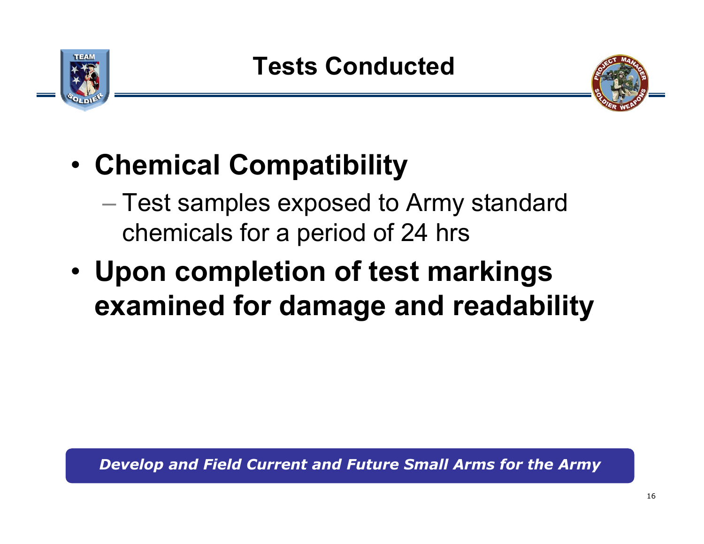



- • **Chemical Compatibility**
	- $-$  Test samples exposed to Army standard  $\,$ chemicals for a period of 24 hrs
- • **Upon completion of test markings examined for damage and readability**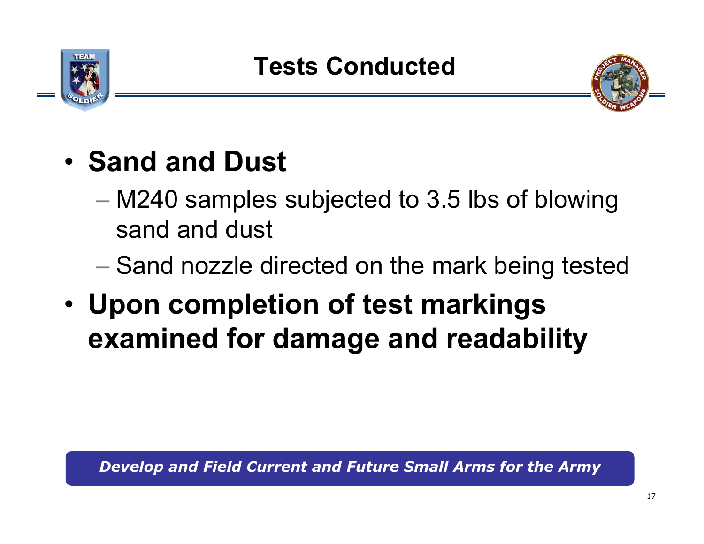



# • **Sand and Dust**

- M240 samples subjected to 3.5 lbs of blowing sand and dust
- $-$  Sand nozzle directed on the mark being tested
- • **Upon completion of test markings examined for damage and readability**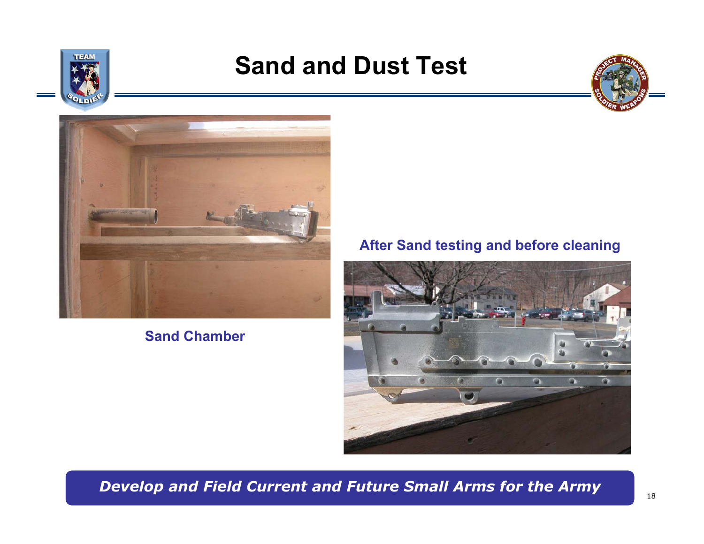

### **Sand and Dust Test**





#### **Sand Chamber**

#### **After Sand testing and before cleaning**

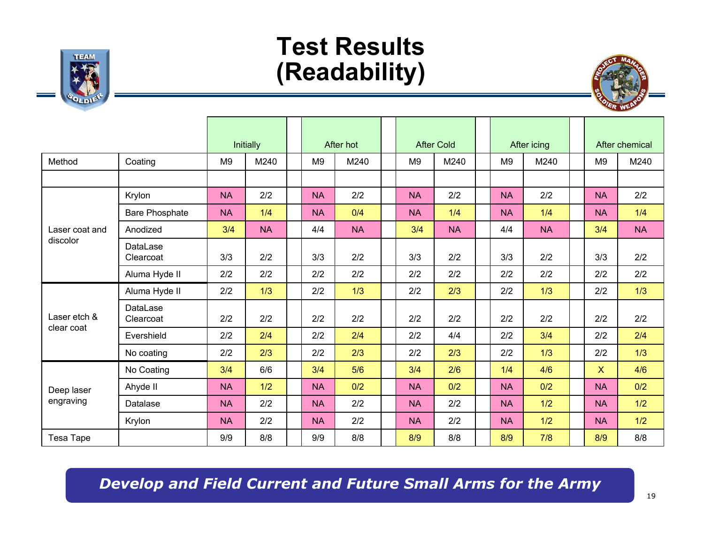### **Test Results (Readability)**



|                         |                       | Initially      |           | After hot      |           | <b>After Cold</b> |           | After icing    |           |                | After chemical |
|-------------------------|-----------------------|----------------|-----------|----------------|-----------|-------------------|-----------|----------------|-----------|----------------|----------------|
| Method                  | Coating               | M <sub>9</sub> | M240      | M <sub>9</sub> | M240      | M <sub>9</sub>    | M240      | M <sub>9</sub> | M240      | M <sub>9</sub> | M240           |
|                         |                       |                |           |                |           |                   |           |                |           |                |                |
|                         | Krylon                | <b>NA</b>      | 2/2       | <b>NA</b>      | 2/2       | <b>NA</b>         | 2/2       | <b>NA</b>      | 2/2       | <b>NA</b>      | 2/2            |
|                         | <b>Bare Phosphate</b> | <b>NA</b>      | 1/4       | <b>NA</b>      | 0/4       | <b>NA</b>         | 1/4       | <b>NA</b>      | 1/4       | <b>NA</b>      | 1/4            |
| Laser coat and          | Anodized              | 3/4            | <b>NA</b> | 4/4            | <b>NA</b> | 3/4               | <b>NA</b> | 4/4            | <b>NA</b> | 3/4            | <b>NA</b>      |
| discolor                | DataLase<br>Clearcoat | 3/3            | 2/2       | 3/3            | 2/2       | 3/3               | 2/2       | 3/3            | 2/2       | 3/3            | 2/2            |
|                         | Aluma Hyde II         | 2/2            | 2/2       | 2/2            | 2/2       | 2/2               | 2/2       | 2/2            | 2/2       | 2/2            | 2/2            |
| Laser etch &            | Aluma Hyde II         | 2/2            | 1/3       | 2/2            | 1/3       | 2/2               | 2/3       | 2/2            | 1/3       | 2/2            | 1/3            |
|                         | DataLase<br>Clearcoat | 2/2            | 2/2       | 2/2            | 2/2       | 2/2               | 2/2       | 2/2            | 2/2       | 2/2            | 2/2            |
| clear coat              | Evershield            | 2/2            | 2/4       | 2/2            | 2/4       | 2/2               | 4/4       | 2/2            | 3/4       | 2/2            | 2/4            |
|                         | No coating            | 2/2            | 2/3       | 2/2            | 2/3       | 2/2               | 2/3       | 2/2            | 1/3       | 2/2            | 1/3            |
| Deep laser<br>engraving | No Coating            | 3/4            | 6/6       | 3/4            | 5/6       | 3/4               | 2/6       | 1/4            | 4/6       | $\mathsf{X}$   | 4/6            |
|                         | Ahyde II              | <b>NA</b>      | 1/2       | <b>NA</b>      | 0/2       | <b>NA</b>         | 0/2       | <b>NA</b>      | 0/2       | <b>NA</b>      | 0/2            |
|                         | Datalase              | <b>NA</b>      | 2/2       | <b>NA</b>      | 2/2       | <b>NA</b>         | 2/2       | <b>NA</b>      | 1/2       | <b>NA</b>      | 1/2            |
|                         | Krylon                | <b>NA</b>      | 2/2       | <b>NA</b>      | 2/2       | <b>NA</b>         | 2/2       | <b>NA</b>      | 1/2       | <b>NA</b>      | 1/2            |
| Tesa Tape               |                       | 9/9            | 8/8       | 9/9            | 8/8       | 8/9               | 8/8       | 8/9            | 7/8       | 8/9            | 8/8            |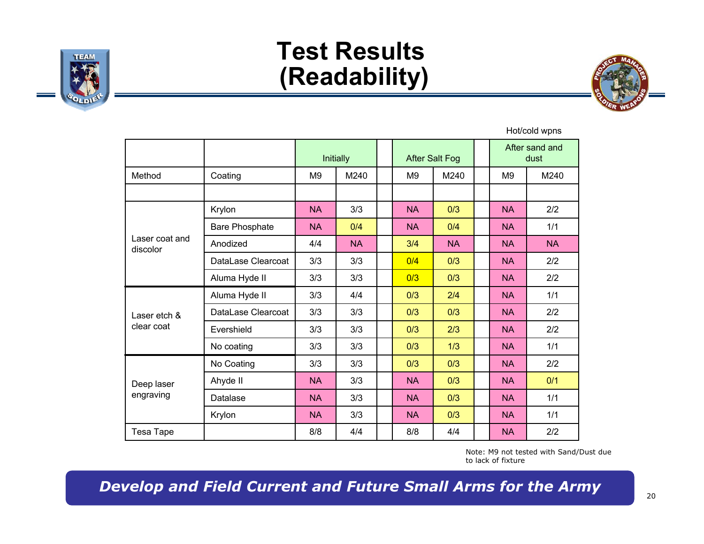

### **Test Results (Readability)**



Hot/cold wpns

|                            |                       | Initially              |           |  | <b>After Salt Fog</b> |           |  |                | After sand and<br>dust |
|----------------------------|-----------------------|------------------------|-----------|--|-----------------------|-----------|--|----------------|------------------------|
| Method                     | Coating               | M240<br>M <sub>9</sub> |           |  | M <sub>9</sub>        | M240      |  | M <sub>9</sub> | M240                   |
|                            |                       |                        |           |  |                       |           |  |                |                        |
|                            | Krylon                | <b>NA</b>              | 3/3       |  | <b>NA</b>             | 0/3       |  | <b>NA</b>      | 2/2                    |
|                            | <b>Bare Phosphate</b> | <b>NA</b>              | 0/4       |  | <b>NA</b>             | 0/4       |  | <b>NA</b>      | 1/1                    |
| Laser coat and<br>discolor | Anodized              | 4/4                    | <b>NA</b> |  | 3/4                   | <b>NA</b> |  | <b>NA</b>      | <b>NA</b>              |
|                            | DataLase Clearcoat    | 3/3                    | 3/3       |  | 0/4                   | 0/3       |  | <b>NA</b>      | 2/2                    |
|                            | Aluma Hyde II         | 3/3                    | 3/3       |  | 0/3                   | 0/3       |  | <b>NA</b>      | 2/2                    |
| Laser etch &               | Aluma Hyde II         | 3/3                    | 4/4       |  | 0/3                   | 2/4       |  | <b>NA</b>      | 1/1                    |
|                            | DataLase Clearcoat    | 3/3                    | 3/3       |  | 0/3                   | 0/3       |  | <b>NA</b>      | 2/2                    |
| clear coat                 | Evershield            | 3/3                    | 3/3       |  | 0/3                   | 2/3       |  | <b>NA</b>      | 2/2                    |
|                            | No coating            | 3/3                    | 3/3       |  | 0/3                   | 1/3       |  | <b>NA</b>      | 1/1                    |
|                            | No Coating            | 3/3                    | 3/3       |  | 0/3                   | 0/3       |  | <b>NA</b>      | 2/2                    |
| Deep laser<br>engraving    | Ahyde II              | <b>NA</b>              | 3/3       |  | <b>NA</b>             | 0/3       |  | <b>NA</b>      | 0/1                    |
|                            | Datalase              | <b>NA</b>              | 3/3       |  | <b>NA</b>             | 0/3       |  | <b>NA</b>      | 1/1                    |
|                            | Krylon                | <b>NA</b>              | 3/3       |  | <b>NA</b>             | 0/3       |  | <b>NA</b>      | 1/1                    |
| Tesa Tape                  |                       | 8/8<br>4/4             |           |  | 8/8                   | 4/4       |  | <b>NA</b>      | 2/2                    |

Note: M9 not tested with Sand/Dust due to lack of fixture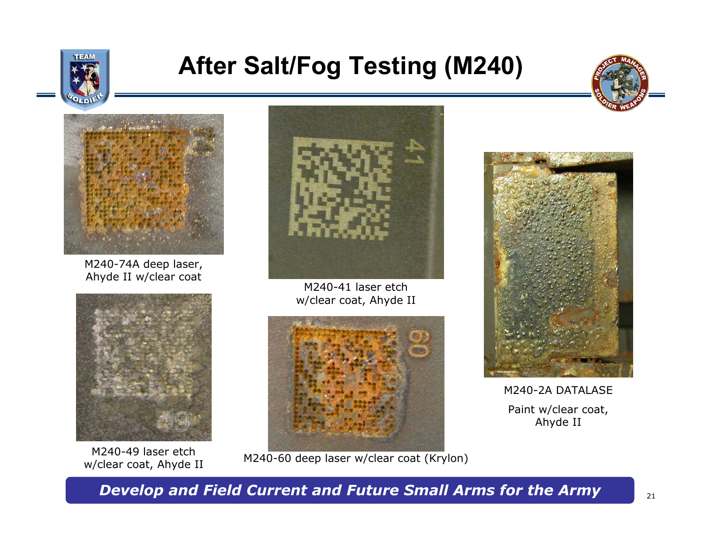

### **After Salt/Fog Testing (M240)**





M240-74A deep laser, Ahyde II w/clear coat



M240-49 laser etch



M240-41 laser etch w/clear coat, Ahyde II



wiz40-49 idser etch M240-60 deep laser w/clear coat (Krylon)<br>w/clear coat, Ahyde II



M240-2A DATALASEPaint w/clear coat, Ahyde II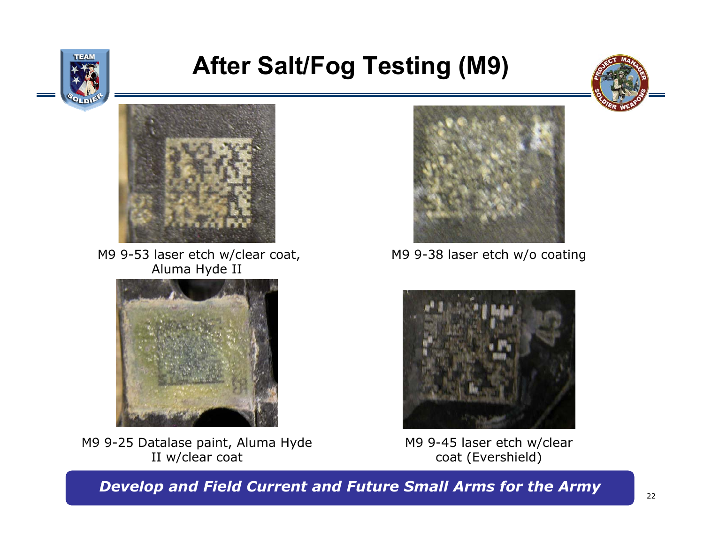

### **After Salt/Fog Testing (M9)**





M9 9-53 laser etch w/clear coat, M9 9-38 laser etch w/o coating Aluma Hyde II



M9 9-25 Datalase paint, Aluma Hyde II w/clear coat





M9 9-45 laser etch w/clear coat (Evershield)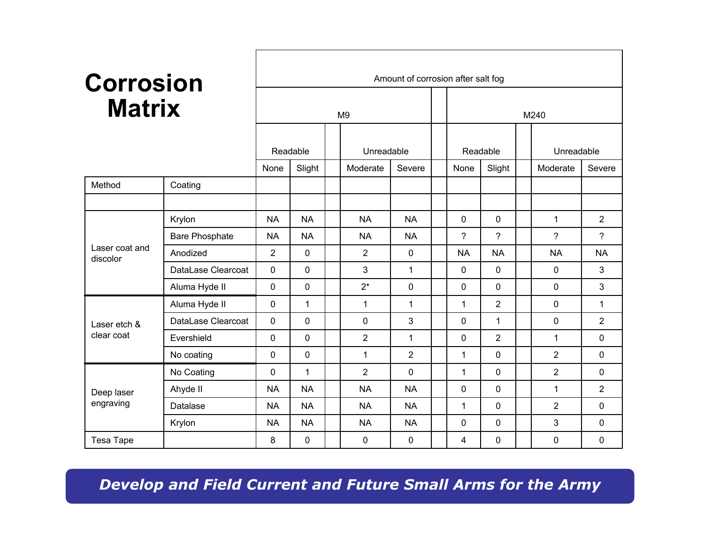# **Matrix**

| <b>Corrosion</b><br><b>Matrix</b> |                       | Amount of corrosion after salt fog |              |                |                |              |          |                |                |            |                |                |  |  |
|-----------------------------------|-----------------------|------------------------------------|--------------|----------------|----------------|--------------|----------|----------------|----------------|------------|----------------|----------------|--|--|
|                                   |                       |                                    |              | M <sub>9</sub> |                | M240         |          |                |                |            |                |                |  |  |
|                                   | Readable              |                                    |              | Unreadable     |                |              | Readable |                |                | Unreadable |                |                |  |  |
|                                   |                       | Slight<br>None                     |              |                | Moderate       | Severe       |          | Slight<br>None |                |            | Moderate       | Severe         |  |  |
| Method                            | Coating               |                                    |              |                |                |              |          |                |                |            |                |                |  |  |
|                                   |                       |                                    |              |                |                |              |          |                |                |            |                |                |  |  |
|                                   | Krylon                | <b>NA</b>                          | <b>NA</b>    |                | <b>NA</b>      | <b>NA</b>    |          | $\Omega$       | $\Omega$       |            | $\mathbf{1}$   | $\overline{2}$ |  |  |
|                                   | <b>Bare Phosphate</b> | <b>NA</b>                          | <b>NA</b>    |                | <b>NA</b>      | <b>NA</b>    |          | ?              | $\overline{?}$ |            | $\gamma$       | $\overline{?}$ |  |  |
| Laser coat and<br>discolor        | Anodized              | $\overline{2}$                     | $\mathbf 0$  |                | $\overline{2}$ | $\mathbf 0$  |          | <b>NA</b>      | <b>NA</b>      |            | <b>NA</b>      | <b>NA</b>      |  |  |
|                                   | DataLase Clearcoat    | 0                                  | $\mathbf 0$  |                | 3              | 1            |          | $\mathbf{0}$   | 0              |            | 0              | 3              |  |  |
|                                   | Aluma Hyde II         | 0                                  | $\mathbf 0$  |                | $2^*$          | $\mathbf 0$  |          | 0              | $\Omega$       |            | $\Omega$       | 3              |  |  |
|                                   | Aluma Hyde II         | 0                                  | $\mathbf{1}$ |                | 1              | $\mathbf{1}$ |          | 1              | $\overline{2}$ |            | $\Omega$       | $\mathbf{1}$   |  |  |
| Laser etch &                      | DataLase Clearcoat    | 0                                  | $\mathbf{0}$ |                | 0              | 3            |          | $\mathbf{0}$   | $\mathbf 1$    |            | 0              | $\overline{2}$ |  |  |
| clear coat                        | Evershield            | 0                                  | $\mathbf 0$  |                | $\overline{2}$ | $\mathbf{1}$ |          | 0              | $\overline{2}$ |            | $\mathbf{1}$   | 0              |  |  |
|                                   | No coating            | 0                                  | $\mathbf 0$  |                | $\mathbf{1}$   | 2            |          | $\mathbf{1}$   | 0              |            | $\overline{2}$ | 0              |  |  |
|                                   | No Coating            | 0                                  | 1            |                | $\overline{2}$ | $\mathbf 0$  |          | 1              | $\Omega$       |            | 2              | 0              |  |  |
| Deep laser<br>engraving           | Ahyde II              | <b>NA</b>                          | <b>NA</b>    |                | <b>NA</b>      | <b>NA</b>    |          | 0              | 0              |            | 1              | $\overline{2}$ |  |  |
|                                   | Datalase              | <b>NA</b>                          | <b>NA</b>    |                | <b>NA</b>      | <b>NA</b>    |          | $\mathbf 1$    | 0              |            | $\overline{2}$ | 0              |  |  |
|                                   | Krylon                | <b>NA</b>                          | <b>NA</b>    |                | <b>NA</b>      | <b>NA</b>    |          | $\Omega$       | $\Omega$       |            | 3              | 0              |  |  |
| Tesa Tape                         |                       | 8                                  | $\mathbf 0$  |                | $\mathbf{0}$   | $\mathbf 0$  |          | 4              | 0              |            | $\mathbf 0$    | $\Omega$       |  |  |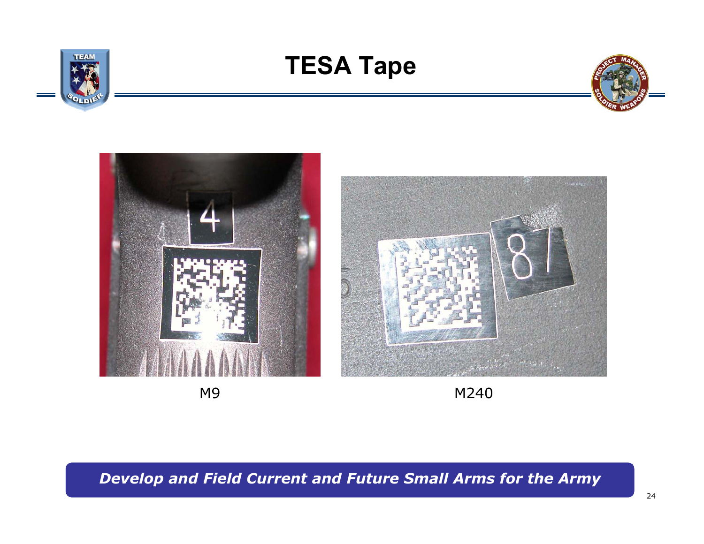



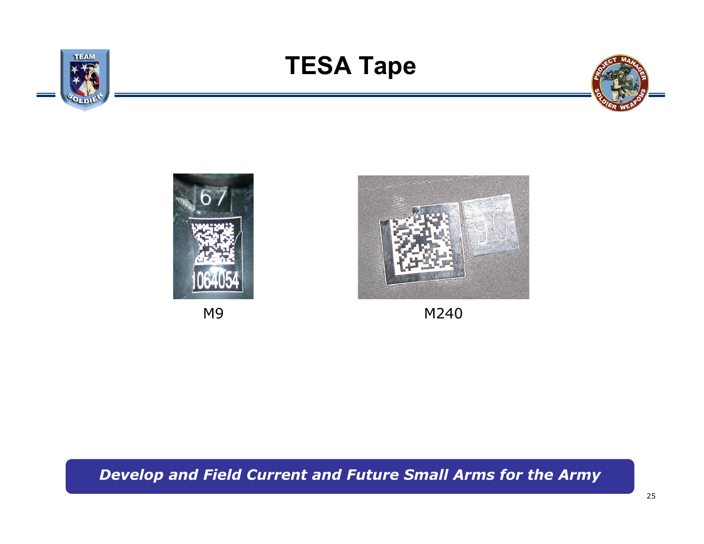





M9 M240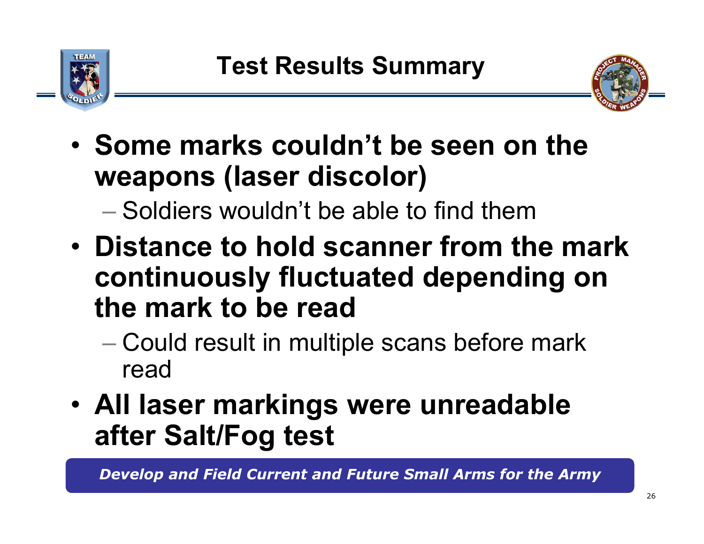



- **Some marks couldn't be seen on the weapons (laser discolor)**
	- Soldiers wouldn't be able to find them
- **Distance to hold scanner from the mark continuously fluctuated depending on the mark to be read**
	- Could result in multiple scans before mark read
- **All laser markings were unreadable after Salt/Fog test**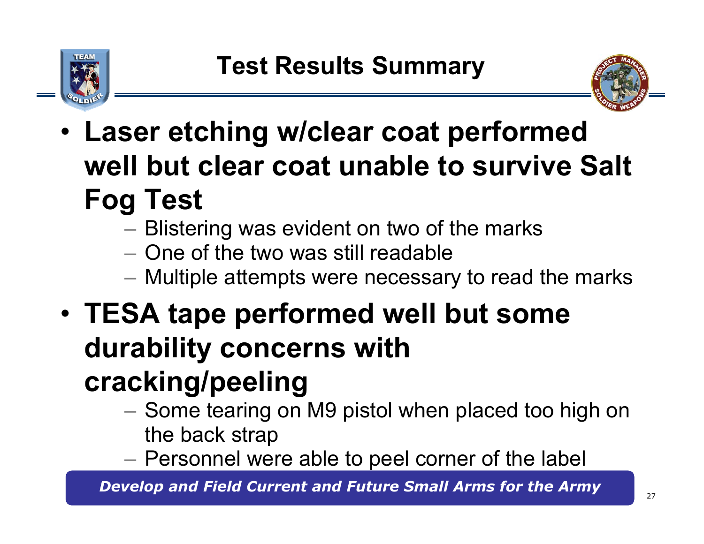



- • **Laser etching w/clear coat performed well but clear coat unable to survive Salt Fog Test**
	- $-$  Blistering was evident on two of the marks
	- One of the two was still readable
	- Multiple attempts were necessary to read the marks
- • **TESA tape performed well but some durability concerns with cracking/peeling**
	- – $-$  Some tearing on M9 pistol when placed too high on the back strap
	- $\mathcal{L}_{\mathcal{A}}$ Personnel were able to peel corner of the label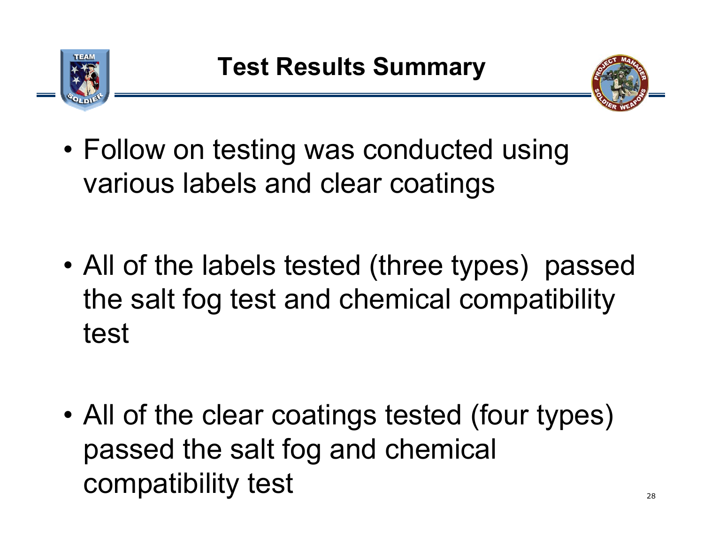



- Follow on testing was conducted using various labels and clear coatings
- • All of the labels tested (three types) passed the salt fog test and chemical compatibility test

• All of the clear coatings tested (four types) passed the salt fog and chemical compatibility test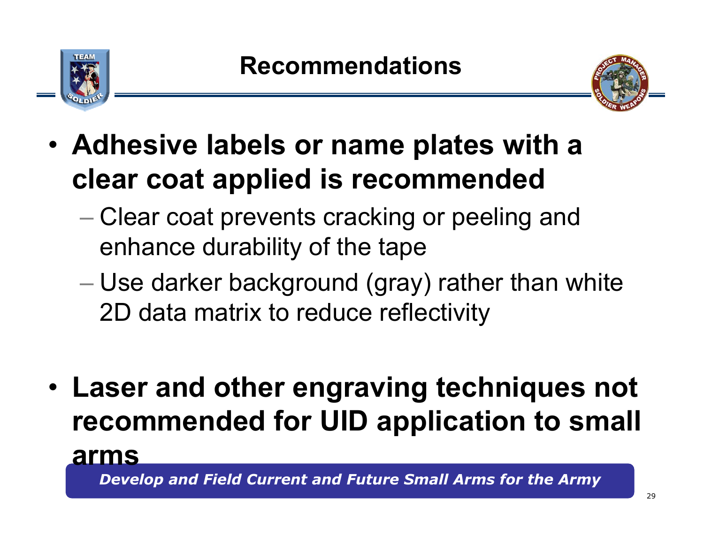



- **Adhesive labels or name plates with a clear coat applied is recommended** 
	- $\mathcal{L}_{\mathcal{A}}$  , the set of the set of the set of the set of the set of the set of the set of the set of the set of the set of the set of the set of the set of the set of the set of the set of the set of the set of the se – Clear coat prevents cracking or peeling and enhance durability of the tape
	- $\mathcal{L}_{\mathcal{A}}$  , the set of the set of the set of the set of the set of the set of the set of the set of the set of the set of the set of the set of the set of the set of the set of the set of the set of the set of the se Use darker background (gray) rather than white 2D data matrix to reduce reflectivity
- **Laser and other engraving techniques not recommended for UID application to small arms**